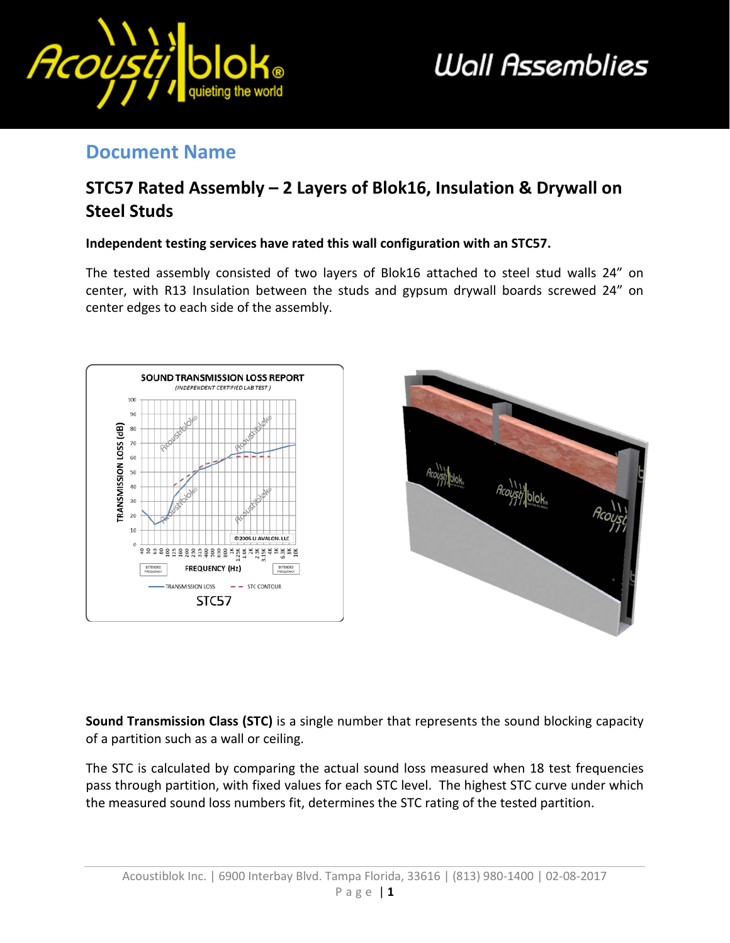

# **Wall Assemblies**

#### **Document Name**

### **STC57 Rated Assembly – 2 Layers of Blok16, Insulation & Drywall on Steel Studs**

#### **Independent testing services have rated this wall configuration with an STC57.**

The tested assembly consisted of two layers of Blok16 attached to steel stud walls 24" on center, with R13 Insulation between the studs and gypsum drywall boards screwed 24" on center edges to each side of the assembly.





**Sound Transmission Class (STC)** is a single number that represents the sound blocking capacity of a partition such as a wall or ceiling.

The STC is calculated by comparing the actual sound loss measured when 18 test frequencies pass through partition, with fixed values for each STC level. The highest STC curve under which the measured sound loss numbers fit, determines the STC rating of the tested partition.